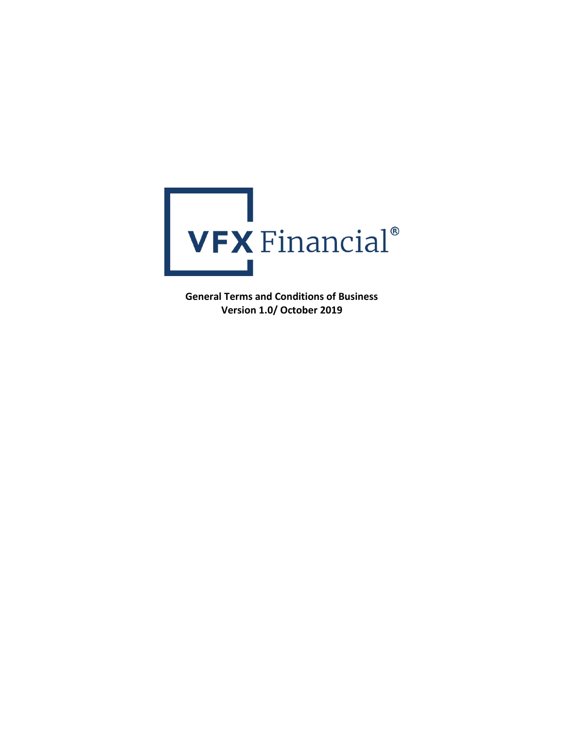

**General Terms and Conditions of Business Version 1.0/ October 2019**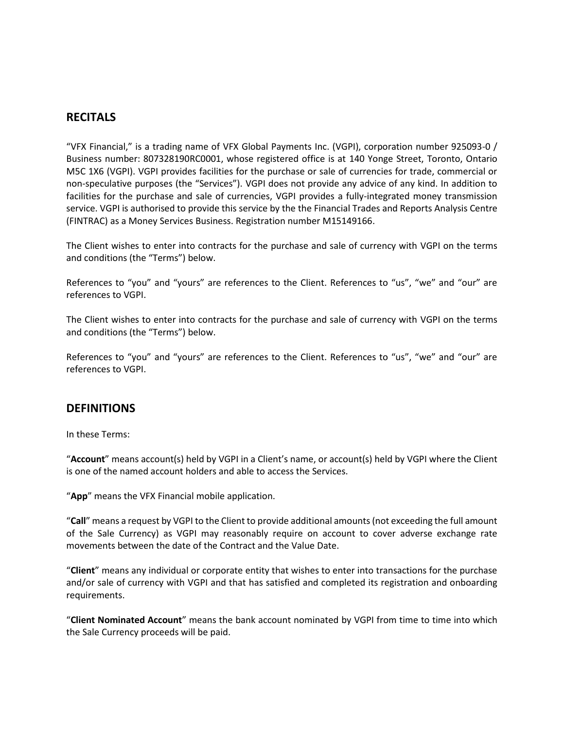# **RECITALS**

"VFX Financial," is a trading name of VFX Global Payments Inc. (VGPI), corporation number 925093-0 / Business number: 807328190RC0001, whose registered office is at 140 Yonge Street, Toronto, Ontario M5C 1X6 (VGPI). VGPI provides facilities for the purchase or sale of currencies for trade, commercial or non-speculative purposes (the "Services"). VGPI does not provide any advice of any kind. In addition to facilities for the purchase and sale of currencies, VGPI provides a fully-integrated money transmission service. VGPI is authorised to provide this service by the the Financial Trades and Reports Analysis Centre (FINTRAC) as a Money Services Business. Registration number M15149166.

The Client wishes to enter into contracts for the purchase and sale of currency with VGPI on the terms and conditions (the "Terms") below.

References to "you" and "yours" are references to the Client. References to "us", "we" and "our" are references to VGPI.

The Client wishes to enter into contracts for the purchase and sale of currency with VGPI on the terms and conditions (the "Terms") below.

References to "you" and "yours" are references to the Client. References to "us", "we" and "our" are references to VGPI.

#### **DEFINITIONS**

In these Terms:

"**Account**" means account(s) held by VGPI in a Client's name, or account(s) held by VGPI where the Client is one of the named account holders and able to access the Services.

"**App**" means the VFX Financial mobile application.

"**Call**" means a request by VGPI to the Client to provide additional amounts (not exceeding the full amount of the Sale Currency) as VGPI may reasonably require on account to cover adverse exchange rate movements between the date of the Contract and the Value Date.

"**Client**" means any individual or corporate entity that wishes to enter into transactions for the purchase and/or sale of currency with VGPI and that has satisfied and completed its registration and onboarding requirements.

"**Client Nominated Account**" means the bank account nominated by VGPI from time to time into which the Sale Currency proceeds will be paid.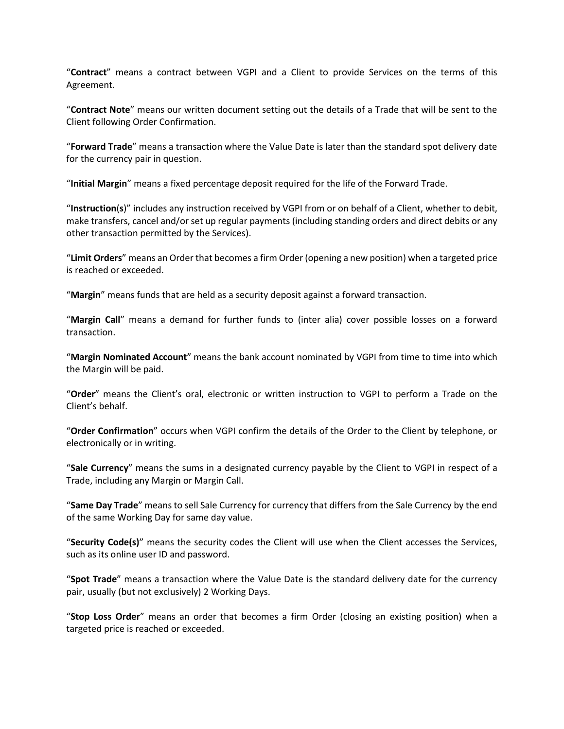"**Contract**" means a contract between VGPI and a Client to provide Services on the terms of this Agreement.

"**Contract Note**" means our written document setting out the details of a Trade that will be sent to the Client following Order Confirmation.

"**Forward Trade**" means a transaction where the Value Date is later than the standard spot delivery date for the currency pair in question.

"**Initial Margin**" means a fixed percentage deposit required for the life of the Forward Trade.

"**Instruction**(**s**)" includes any instruction received by VGPI from or on behalf of a Client, whether to debit, make transfers, cancel and/or set up regular payments (including standing orders and direct debits or any other transaction permitted by the Services).

"**Limit Orders**" means an Order that becomes a firm Order (opening a new position) when a targeted price is reached or exceeded.

"**Margin**" means funds that are held as a security deposit against a forward transaction.

"**Margin Call**" means a demand for further funds to (inter alia) cover possible losses on a forward transaction.

"**Margin Nominated Account**" means the bank account nominated by VGPI from time to time into which the Margin will be paid.

"**Order**" means the Client's oral, electronic or written instruction to VGPI to perform a Trade on the Client's behalf.

"**Order Confirmation**" occurs when VGPI confirm the details of the Order to the Client by telephone, or electronically or in writing.

"**Sale Currency**" means the sums in a designated currency payable by the Client to VGPI in respect of a Trade, including any Margin or Margin Call.

"**Same Day Trade**" means to sell Sale Currency for currency that differs from the Sale Currency by the end of the same Working Day for same day value.

"**Security Code(s)**" means the security codes the Client will use when the Client accesses the Services, such as its online user ID and password.

"**Spot Trade**" means a transaction where the Value Date is the standard delivery date for the currency pair, usually (but not exclusively) 2 Working Days.

"**Stop Loss Order**" means an order that becomes a firm Order (closing an existing position) when a targeted price is reached or exceeded.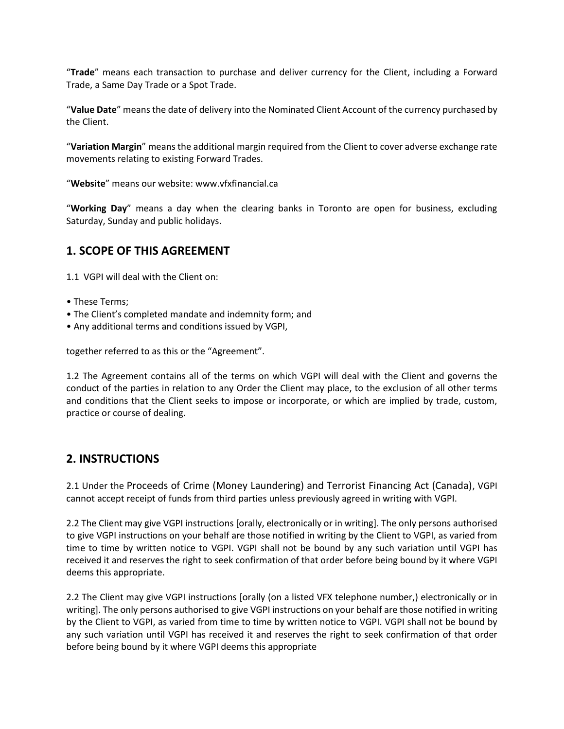"**Trade**" means each transaction to purchase and deliver currency for the Client, including a Forward Trade, a Same Day Trade or a Spot Trade.

"**Value Date**" means the date of delivery into the Nominated Client Account of the currency purchased by the Client.

"**Variation Margin**" means the additional margin required from the Client to cover adverse exchange rate movements relating to existing Forward Trades.

"**Website**" means our website: www.vfxfinancial.ca

"**Working Day**" means a day when the clearing banks in Toronto are open for business, excluding Saturday, Sunday and public holidays.

## **1. SCOPE OF THIS AGREEMENT**

1.1 VGPI will deal with the Client on:

- These Terms;
- The Client's completed mandate and indemnity form; and
- Any additional terms and conditions issued by VGPI,

together referred to as this or the "Agreement".

1.2 The Agreement contains all of the terms on which VGPI will deal with the Client and governs the conduct of the parties in relation to any Order the Client may place, to the exclusion of all other terms and conditions that the Client seeks to impose or incorporate, or which are implied by trade, custom, practice or course of dealing.

## **2. INSTRUCTIONS**

2.1 Under the Proceeds of Crime (Money Laundering) and Terrorist Financing Act (Canada), VGPI cannot accept receipt of funds from third parties unless previously agreed in writing with VGPI.

2.2 The Client may give VGPI instructions [orally, electronically or in writing]. The only persons authorised to give VGPI instructions on your behalf are those notified in writing by the Client to VGPI, as varied from time to time by written notice to VGPI. VGPI shall not be bound by any such variation until VGPI has received it and reserves the right to seek confirmation of that order before being bound by it where VGPI deems this appropriate.

2.2 The Client may give VGPI instructions [orally (on a listed VFX telephone number,) electronically or in writing]. The only persons authorised to give VGPI instructions on your behalf are those notified in writing by the Client to VGPI, as varied from time to time by written notice to VGPI. VGPI shall not be bound by any such variation until VGPI has received it and reserves the right to seek confirmation of that order before being bound by it where VGPI deems this appropriate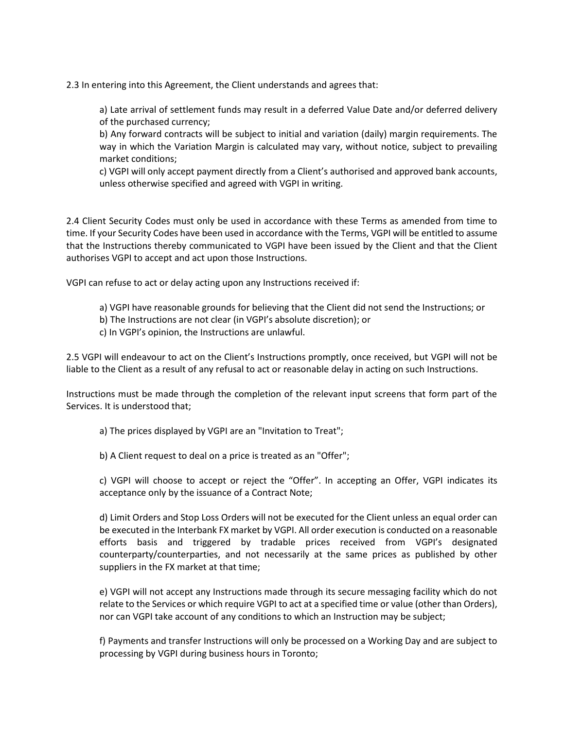2.3 In entering into this Agreement, the Client understands and agrees that:

a) Late arrival of settlement funds may result in a deferred Value Date and/or deferred delivery of the purchased currency;

b) Any forward contracts will be subject to initial and variation (daily) margin requirements. The way in which the Variation Margin is calculated may vary, without notice, subject to prevailing market conditions;

c) VGPI will only accept payment directly from a Client's authorised and approved bank accounts, unless otherwise specified and agreed with VGPI in writing.

2.4 Client Security Codes must only be used in accordance with these Terms as amended from time to time. If your Security Codes have been used in accordance with the Terms, VGPI will be entitled to assume that the Instructions thereby communicated to VGPI have been issued by the Client and that the Client authorises VGPI to accept and act upon those Instructions.

VGPI can refuse to act or delay acting upon any Instructions received if:

- a) VGPI have reasonable grounds for believing that the Client did not send the Instructions; or
- b) The Instructions are not clear (in VGPI's absolute discretion); or
- c) In VGPI's opinion, the Instructions are unlawful.

2.5 VGPI will endeavour to act on the Client's Instructions promptly, once received, but VGPI will not be liable to the Client as a result of any refusal to act or reasonable delay in acting on such Instructions.

Instructions must be made through the completion of the relevant input screens that form part of the Services. It is understood that;

a) The prices displayed by VGPI are an "Invitation to Treat";

b) A Client request to deal on a price is treated as an "Offer";

c) VGPI will choose to accept or reject the "Offer". In accepting an Offer, VGPI indicates its acceptance only by the issuance of a Contract Note;

d) Limit Orders and Stop Loss Orders will not be executed for the Client unless an equal order can be executed in the Interbank FX market by VGPI. All order execution is conducted on a reasonable efforts basis and triggered by tradable prices received from VGPI's designated counterparty/counterparties, and not necessarily at the same prices as published by other suppliers in the FX market at that time;

e) VGPI will not accept any Instructions made through its secure messaging facility which do not relate to the Services or which require VGPI to act at a specified time or value (other than Orders), nor can VGPI take account of any conditions to which an Instruction may be subject;

f) Payments and transfer Instructions will only be processed on a Working Day and are subject to processing by VGPI during business hours in Toronto;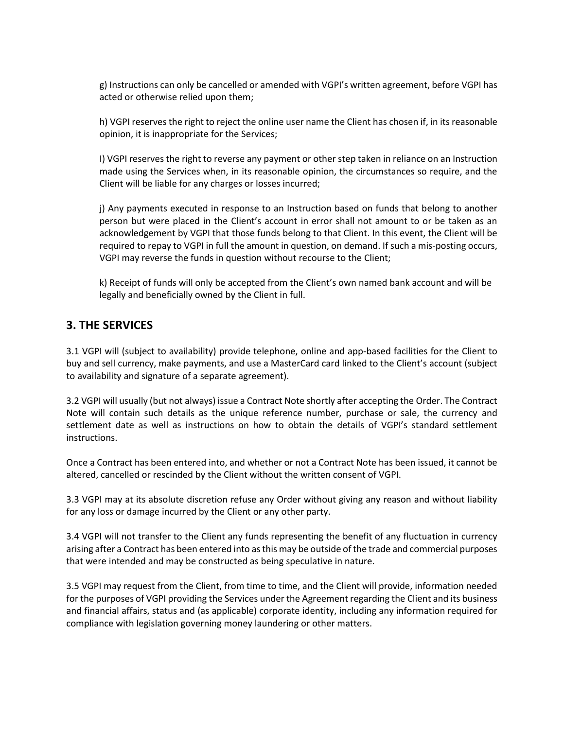g) Instructions can only be cancelled or amended with VGPI's written agreement, before VGPI has acted or otherwise relied upon them;

h) VGPI reserves the right to reject the online user name the Client has chosen if, in its reasonable opinion, it is inappropriate for the Services;

I) VGPI reserves the right to reverse any payment or other step taken in reliance on an Instruction made using the Services when, in its reasonable opinion, the circumstances so require, and the Client will be liable for any charges or losses incurred;

j) Any payments executed in response to an Instruction based on funds that belong to another person but were placed in the Client's account in error shall not amount to or be taken as an acknowledgement by VGPI that those funds belong to that Client. In this event, the Client will be required to repay to VGPI in full the amount in question, on demand. If such a mis-posting occurs, VGPI may reverse the funds in question without recourse to the Client;

k) Receipt of funds will only be accepted from the Client's own named bank account and will be legally and beneficially owned by the Client in full.

## **3. THE SERVICES**

3.1 VGPI will (subject to availability) provide telephone, online and app-based facilities for the Client to buy and sell currency, make payments, and use a MasterCard card linked to the Client's account (subject to availability and signature of a separate agreement).

3.2 VGPI will usually (but not always) issue a Contract Note shortly after accepting the Order. The Contract Note will contain such details as the unique reference number, purchase or sale, the currency and settlement date as well as instructions on how to obtain the details of VGPI's standard settlement instructions.

Once a Contract has been entered into, and whether or not a Contract Note has been issued, it cannot be altered, cancelled or rescinded by the Client without the written consent of VGPI.

3.3 VGPI may at its absolute discretion refuse any Order without giving any reason and without liability for any loss or damage incurred by the Client or any other party.

3.4 VGPI will not transfer to the Client any funds representing the benefit of any fluctuation in currency arising after a Contract has been entered into as this may be outside of the trade and commercial purposes that were intended and may be constructed as being speculative in nature.

3.5 VGPI may request from the Client, from time to time, and the Client will provide, information needed for the purposes of VGPI providing the Services under the Agreement regarding the Client and its business and financial affairs, status and (as applicable) corporate identity, including any information required for compliance with legislation governing money laundering or other matters.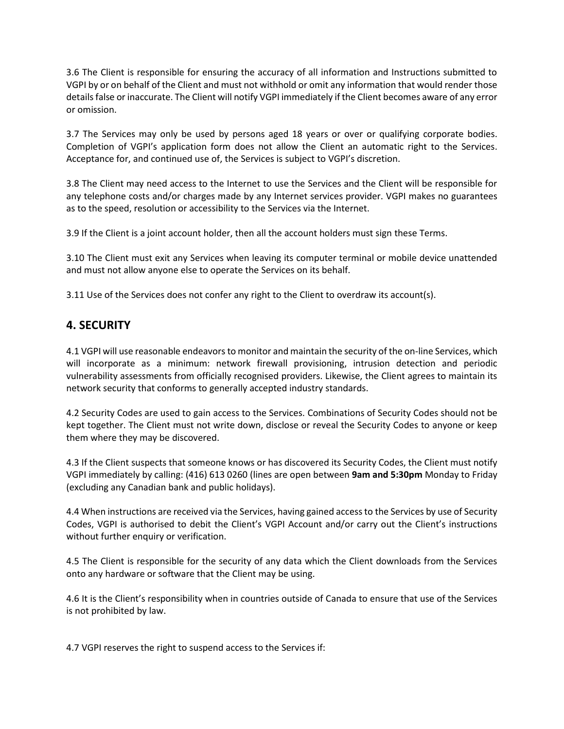3.6 The Client is responsible for ensuring the accuracy of all information and Instructions submitted to VGPI by or on behalf of the Client and must not withhold or omit any information that would render those details false or inaccurate. The Client will notify VGPI immediately if the Client becomes aware of any error or omission.

3.7 The Services may only be used by persons aged 18 years or over or qualifying corporate bodies. Completion of VGPI's application form does not allow the Client an automatic right to the Services. Acceptance for, and continued use of, the Services is subject to VGPI's discretion.

3.8 The Client may need access to the Internet to use the Services and the Client will be responsible for any telephone costs and/or charges made by any Internet services provider. VGPI makes no guarantees as to the speed, resolution or accessibility to the Services via the Internet.

3.9 If the Client is a joint account holder, then all the account holders must sign these Terms.

3.10 The Client must exit any Services when leaving its computer terminal or mobile device unattended and must not allow anyone else to operate the Services on its behalf.

3.11 Use of the Services does not confer any right to the Client to overdraw its account(s).

# **4. SECURITY**

4.1 VGPI will use reasonable endeavorsto monitor and maintain the security of the on-line Services, which will incorporate as a minimum: network firewall provisioning, intrusion detection and periodic vulnerability assessments from officially recognised providers. Likewise, the Client agrees to maintain its network security that conforms to generally accepted industry standards.

4.2 Security Codes are used to gain access to the Services. Combinations of Security Codes should not be kept together. The Client must not write down, disclose or reveal the Security Codes to anyone or keep them where they may be discovered.

4.3 If the Client suspects that someone knows or has discovered its Security Codes, the Client must notify VGPI immediately by calling: (416) 613 0260 (lines are open between **9am and 5:30pm** Monday to Friday (excluding any Canadian bank and public holidays).

4.4 When instructions are received via the Services, having gained access to the Services by use of Security Codes, VGPI is authorised to debit the Client's VGPI Account and/or carry out the Client's instructions without further enquiry or verification.

4.5 The Client is responsible for the security of any data which the Client downloads from the Services onto any hardware or software that the Client may be using.

4.6 It is the Client's responsibility when in countries outside of Canada to ensure that use of the Services is not prohibited by law.

4.7 VGPI reserves the right to suspend access to the Services if: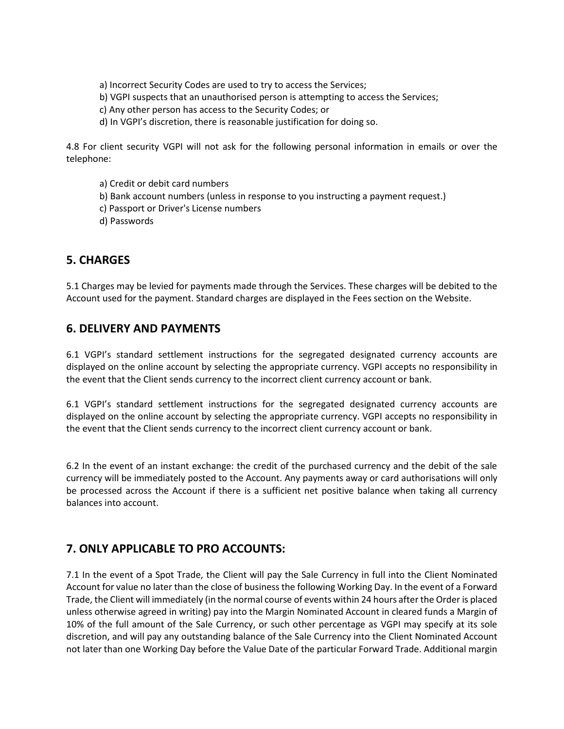a) Incorrect Security Codes are used to try to access the Services;

- b) VGPI suspects that an unauthorised person is attempting to access the Services;
- c) Any other person has access to the Security Codes; or
- d) In VGPI's discretion, there is reasonable justification for doing so.

4.8 For client security VGPI will not ask for the following personal information in emails or over the telephone:

- a) Credit or debit card numbers
- b) Bank account numbers (unless in response to you instructing a payment request.)
- c) Passport or Driver's License numbers
- d) Passwords

# **5. CHARGES**

5.1 Charges may be levied for payments made through the Services. These charges will be debited to the Account used for the payment. Standard charges are displayed in the Fees section on the Website.

## **6. DELIVERY AND PAYMENTS**

6.1 VGPI's standard settlement instructions for the segregated designated currency accounts are displayed on the online account by selecting the appropriate currency. VGPI accepts no responsibility in the event that the Client sends currency to the incorrect client currency account or bank.

6.1 VGPI's standard settlement instructions for the segregated designated currency accounts are displayed on the online account by selecting the appropriate currency. VGPI accepts no responsibility in the event that the Client sends currency to the incorrect client currency account or bank.

6.2 In the event of an instant exchange: the credit of the purchased currency and the debit of the sale currency will be immediately posted to the Account. Any payments away or card authorisations will only be processed across the Account if there is a sufficient net positive balance when taking all currency balances into account.

# **7. ONLY APPLICABLE TO PRO ACCOUNTS:**

7.1 In the event of a Spot Trade, the Client will pay the Sale Currency in full into the Client Nominated Account for value no later than the close of business the following Working Day. In the event of a Forward Trade, the Client will immediately (in the normal course of events within 24 hours after the Order is placed unless otherwise agreed in writing) pay into the Margin Nominated Account in cleared funds a Margin of 10% of the full amount of the Sale Currency, or such other percentage as VGPI may specify at its sole discretion, and will pay any outstanding balance of the Sale Currency into the Client Nominated Account not later than one Working Day before the Value Date of the particular Forward Trade. Additional margin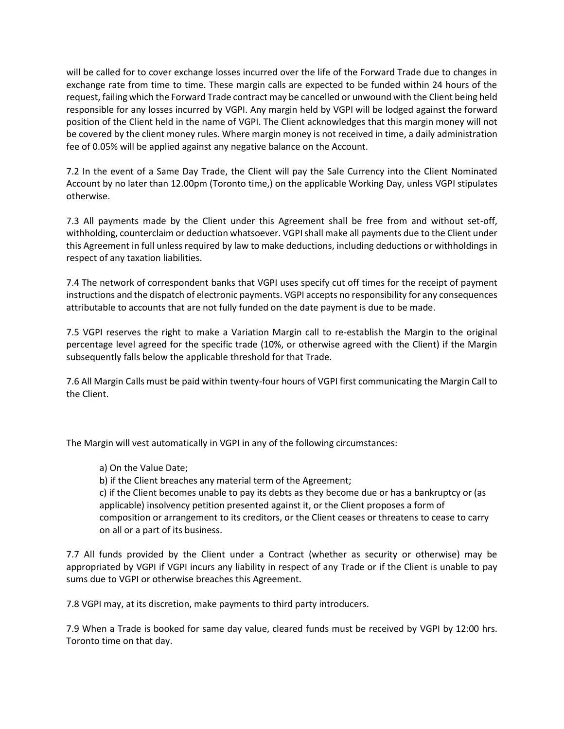will be called for to cover exchange losses incurred over the life of the Forward Trade due to changes in exchange rate from time to time. These margin calls are expected to be funded within 24 hours of the request, failing which the Forward Trade contract may be cancelled or unwound with the Client being held responsible for any losses incurred by VGPI. Any margin held by VGPI will be lodged against the forward position of the Client held in the name of VGPI. The Client acknowledges that this margin money will not be covered by the client money rules. Where margin money is not received in time, a daily administration fee of 0.05% will be applied against any negative balance on the Account.

7.2 In the event of a Same Day Trade, the Client will pay the Sale Currency into the Client Nominated Account by no later than 12.00pm (Toronto time,) on the applicable Working Day, unless VGPI stipulates otherwise.

7.3 All payments made by the Client under this Agreement shall be free from and without set-off, withholding, counterclaim or deduction whatsoever. VGPI shall make all payments due to the Client under this Agreement in full unless required by law to make deductions, including deductions or withholdings in respect of any taxation liabilities.

7.4 The network of correspondent banks that VGPI uses specify cut off times for the receipt of payment instructions and the dispatch of electronic payments. VGPI accepts no responsibility for any consequences attributable to accounts that are not fully funded on the date payment is due to be made.

7.5 VGPI reserves the right to make a Variation Margin call to re-establish the Margin to the original percentage level agreed for the specific trade (10%, or otherwise agreed with the Client) if the Margin subsequently falls below the applicable threshold for that Trade.

7.6 All Margin Calls must be paid within twenty-four hours of VGPI first communicating the Margin Call to the Client.

The Margin will vest automatically in VGPI in any of the following circumstances:

a) On the Value Date;

b) if the Client breaches any material term of the Agreement;

c) if the Client becomes unable to pay its debts as they become due or has a bankruptcy or (as applicable) insolvency petition presented against it, or the Client proposes a form of composition or arrangement to its creditors, or the Client ceases or threatens to cease to carry on all or a part of its business.

7.7 All funds provided by the Client under a Contract (whether as security or otherwise) may be appropriated by VGPI if VGPI incurs any liability in respect of any Trade or if the Client is unable to pay sums due to VGPI or otherwise breaches this Agreement.

7.8 VGPI may, at its discretion, make payments to third party introducers.

7.9 When a Trade is booked for same day value, cleared funds must be received by VGPI by 12:00 hrs. Toronto time on that day.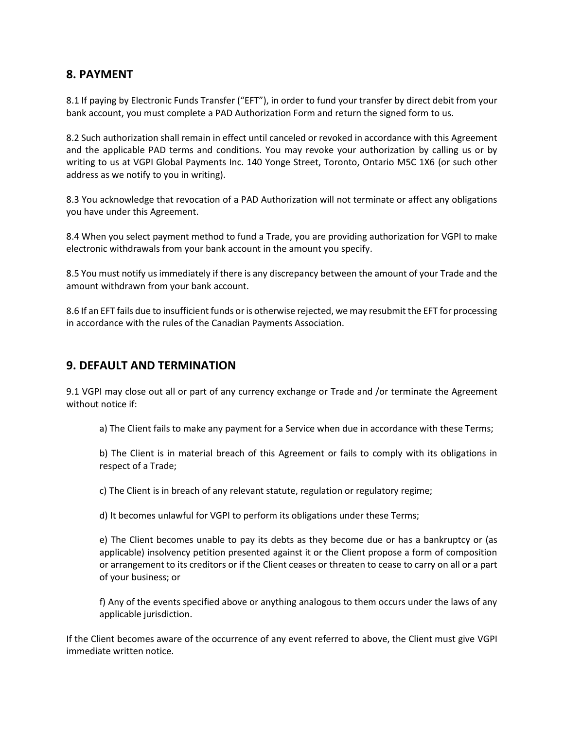# **8. PAYMENT**

8.1 If paying by Electronic Funds Transfer ("EFT"), in order to fund your transfer by direct debit from your bank account, you must complete a PAD Authorization Form and return the signed form to us.

8.2 Such authorization shall remain in effect until canceled or revoked in accordance with this Agreement and the applicable PAD terms and conditions. You may revoke your authorization by calling us or by writing to us at VGPI Global Payments Inc. 140 Yonge Street, Toronto, Ontario M5C 1X6 (or such other address as we notify to you in writing).

8.3 You acknowledge that revocation of a PAD Authorization will not terminate or affect any obligations you have under this Agreement.

8.4 When you select payment method to fund a Trade, you are providing authorization for VGPI to make electronic withdrawals from your bank account in the amount you specify.

8.5 You must notify us immediately if there is any discrepancy between the amount of your Trade and the amount withdrawn from your bank account.

8.6 If an EFT fails due to insufficient funds or is otherwise rejected, we may resubmit the EFT for processing in accordance with the rules of the Canadian Payments Association.

## **9. DEFAULT AND TERMINATION**

9.1 VGPI may close out all or part of any currency exchange or Trade and /or terminate the Agreement without notice if:

a) The Client fails to make any payment for a Service when due in accordance with these Terms;

b) The Client is in material breach of this Agreement or fails to comply with its obligations in respect of a Trade;

c) The Client is in breach of any relevant statute, regulation or regulatory regime;

d) It becomes unlawful for VGPI to perform its obligations under these Terms;

e) The Client becomes unable to pay its debts as they become due or has a bankruptcy or (as applicable) insolvency petition presented against it or the Client propose a form of composition or arrangement to its creditors or if the Client ceases or threaten to cease to carry on all or a part of your business; or

f) Any of the events specified above or anything analogous to them occurs under the laws of any applicable jurisdiction.

If the Client becomes aware of the occurrence of any event referred to above, the Client must give VGPI immediate written notice.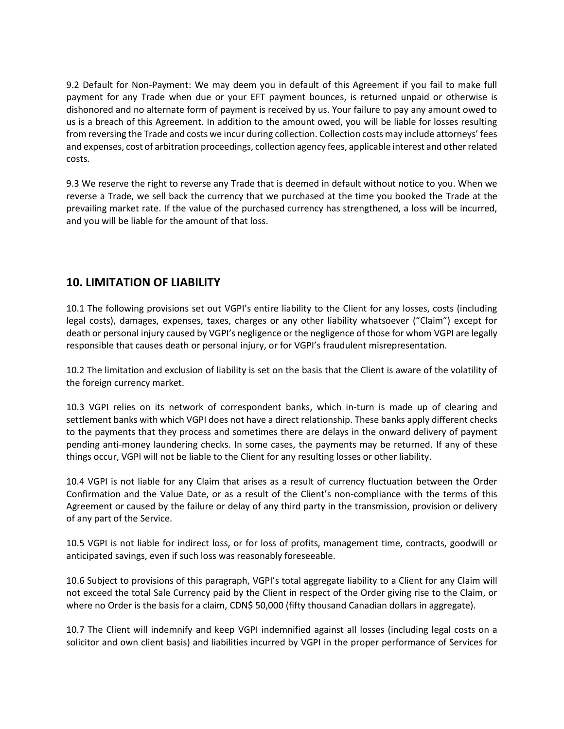9.2 Default for Non-Payment: We may deem you in default of this Agreement if you fail to make full payment for any Trade when due or your EFT payment bounces, is returned unpaid or otherwise is dishonored and no alternate form of payment is received by us. Your failure to pay any amount owed to us is a breach of this Agreement. In addition to the amount owed, you will be liable for losses resulting from reversing the Trade and costs we incur during collection. Collection costs may include attorneys' fees and expenses, cost of arbitration proceedings, collection agency fees, applicable interest and other related costs.

9.3 We reserve the right to reverse any Trade that is deemed in default without notice to you. When we reverse a Trade, we sell back the currency that we purchased at the time you booked the Trade at the prevailing market rate. If the value of the purchased currency has strengthened, a loss will be incurred, and you will be liable for the amount of that loss.

# **10. LIMITATION OF LIABILITY**

10.1 The following provisions set out VGPI's entire liability to the Client for any losses, costs (including legal costs), damages, expenses, taxes, charges or any other liability whatsoever ("Claim") except for death or personal injury caused by VGPI's negligence or the negligence of those for whom VGPI are legally responsible that causes death or personal injury, or for VGPI's fraudulent misrepresentation.

10.2 The limitation and exclusion of liability is set on the basis that the Client is aware of the volatility of the foreign currency market.

10.3 VGPI relies on its network of correspondent banks, which in-turn is made up of clearing and settlement banks with which VGPI does not have a direct relationship. These banks apply different checks to the payments that they process and sometimes there are delays in the onward delivery of payment pending anti-money laundering checks. In some cases, the payments may be returned. If any of these things occur, VGPI will not be liable to the Client for any resulting losses or other liability.

10.4 VGPI is not liable for any Claim that arises as a result of currency fluctuation between the Order Confirmation and the Value Date, or as a result of the Client's non-compliance with the terms of this Agreement or caused by the failure or delay of any third party in the transmission, provision or delivery of any part of the Service.

10.5 VGPI is not liable for indirect loss, or for loss of profits, management time, contracts, goodwill or anticipated savings, even if such loss was reasonably foreseeable.

10.6 Subject to provisions of this paragraph, VGPI's total aggregate liability to a Client for any Claim will not exceed the total Sale Currency paid by the Client in respect of the Order giving rise to the Claim, or where no Order is the basis for a claim, CDN\$ 50,000 (fifty thousand Canadian dollars in aggregate).

10.7 The Client will indemnify and keep VGPI indemnified against all losses (including legal costs on a solicitor and own client basis) and liabilities incurred by VGPI in the proper performance of Services for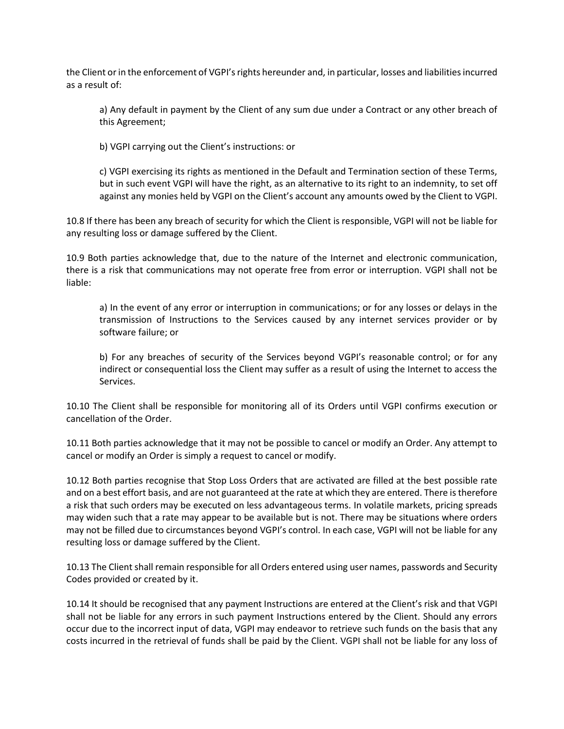the Client or in the enforcement of VGPI's rights hereunder and, in particular, losses and liabilities incurred as a result of:

a) Any default in payment by the Client of any sum due under a Contract or any other breach of this Agreement;

b) VGPI carrying out the Client's instructions: or

c) VGPI exercising its rights as mentioned in the Default and Termination section of these Terms, but in such event VGPI will have the right, as an alternative to its right to an indemnity, to set off against any monies held by VGPI on the Client's account any amounts owed by the Client to VGPI.

10.8 If there has been any breach of security for which the Client is responsible, VGPI will not be liable for any resulting loss or damage suffered by the Client.

10.9 Both parties acknowledge that, due to the nature of the Internet and electronic communication, there is a risk that communications may not operate free from error or interruption. VGPI shall not be liable:

a) In the event of any error or interruption in communications; or for any losses or delays in the transmission of Instructions to the Services caused by any internet services provider or by software failure; or

b) For any breaches of security of the Services beyond VGPI's reasonable control; or for any indirect or consequential loss the Client may suffer as a result of using the Internet to access the Services.

10.10 The Client shall be responsible for monitoring all of its Orders until VGPI confirms execution or cancellation of the Order.

10.11 Both parties acknowledge that it may not be possible to cancel or modify an Order. Any attempt to cancel or modify an Order is simply a request to cancel or modify.

10.12 Both parties recognise that Stop Loss Orders that are activated are filled at the best possible rate and on a best effort basis, and are not guaranteed at the rate at which they are entered. There is therefore a risk that such orders may be executed on less advantageous terms. In volatile markets, pricing spreads may widen such that a rate may appear to be available but is not. There may be situations where orders may not be filled due to circumstances beyond VGPI's control. In each case, VGPI will not be liable for any resulting loss or damage suffered by the Client.

10.13 The Client shall remain responsible for all Orders entered using user names, passwords and Security Codes provided or created by it.

10.14 It should be recognised that any payment Instructions are entered at the Client's risk and that VGPI shall not be liable for any errors in such payment Instructions entered by the Client. Should any errors occur due to the incorrect input of data, VGPI may endeavor to retrieve such funds on the basis that any costs incurred in the retrieval of funds shall be paid by the Client. VGPI shall not be liable for any loss of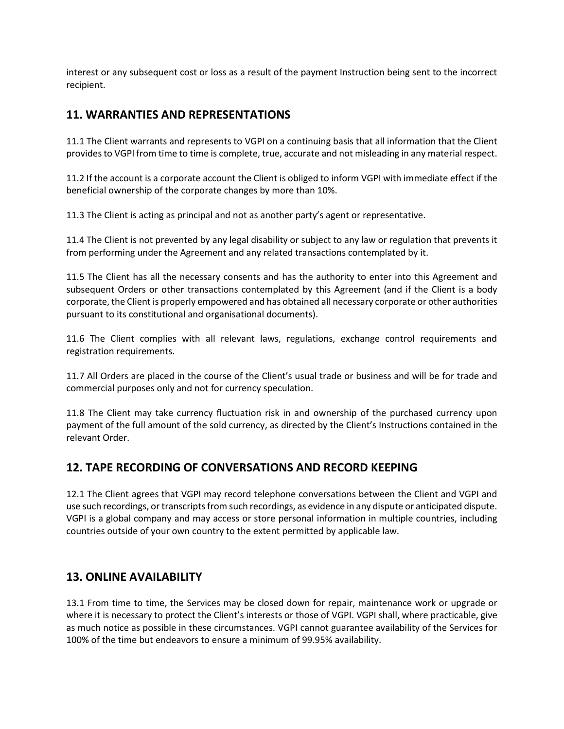interest or any subsequent cost or loss as a result of the payment Instruction being sent to the incorrect recipient.

# **11. WARRANTIES AND REPRESENTATIONS**

11.1 The Client warrants and represents to VGPI on a continuing basis that all information that the Client provides to VGPI from time to time is complete, true, accurate and not misleading in any material respect.

11.2 If the account is a corporate account the Client is obliged to inform VGPI with immediate effect if the beneficial ownership of the corporate changes by more than 10%.

11.3 The Client is acting as principal and not as another party's agent or representative.

11.4 The Client is not prevented by any legal disability or subject to any law or regulation that prevents it from performing under the Agreement and any related transactions contemplated by it.

11.5 The Client has all the necessary consents and has the authority to enter into this Agreement and subsequent Orders or other transactions contemplated by this Agreement (and if the Client is a body corporate, the Client is properly empowered and has obtained all necessary corporate or other authorities pursuant to its constitutional and organisational documents).

11.6 The Client complies with all relevant laws, regulations, exchange control requirements and registration requirements.

11.7 All Orders are placed in the course of the Client's usual trade or business and will be for trade and commercial purposes only and not for currency speculation.

11.8 The Client may take currency fluctuation risk in and ownership of the purchased currency upon payment of the full amount of the sold currency, as directed by the Client's Instructions contained in the relevant Order.

# **12. TAPE RECORDING OF CONVERSATIONS AND RECORD KEEPING**

12.1 The Client agrees that VGPI may record telephone conversations between the Client and VGPI and use such recordings, or transcripts from such recordings, as evidence in any dispute or anticipated dispute. VGPI is a global company and may access or store personal information in multiple countries, including countries outside of your own country to the extent permitted by applicable law.

# **13. ONLINE AVAILABILITY**

13.1 From time to time, the Services may be closed down for repair, maintenance work or upgrade or where it is necessary to protect the Client's interests or those of VGPI. VGPI shall, where practicable, give as much notice as possible in these circumstances. VGPI cannot guarantee availability of the Services for 100% of the time but endeavors to ensure a minimum of 99.95% availability.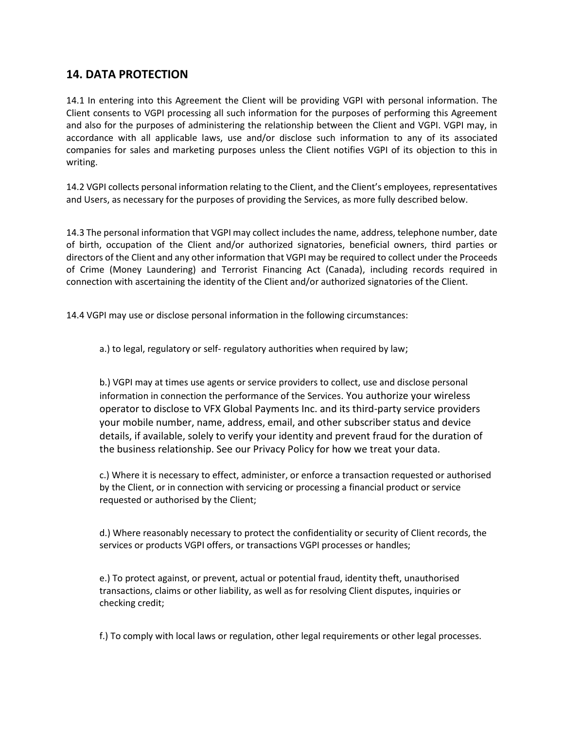# **14. DATA PROTECTION**

14.1 In entering into this Agreement the Client will be providing VGPI with personal information. The Client consents to VGPI processing all such information for the purposes of performing this Agreement and also for the purposes of administering the relationship between the Client and VGPI. VGPI may, in accordance with all applicable laws, use and/or disclose such information to any of its associated companies for sales and marketing purposes unless the Client notifies VGPI of its objection to this in writing.

14.2 VGPI collects personal information relating to the Client, and the Client's employees, representatives and Users, as necessary for the purposes of providing the Services, as more fully described below.

14.3 The personal information that VGPI may collect includes the name, address, telephone number, date of birth, occupation of the Client and/or authorized signatories, beneficial owners, third parties or directors of the Client and any other information that VGPI may be required to collect under the Proceeds of Crime (Money Laundering) and Terrorist Financing Act (Canada), including records required in connection with ascertaining the identity of the Client and/or authorized signatories of the Client.

14.4 VGPI may use or disclose personal information in the following circumstances:

a.) to legal, regulatory or self- regulatory authorities when required by law;

b.) VGPI may at times use agents or service providers to collect, use and disclose personal information in connection the performance of the Services. You authorize your wireless operator to disclose to VFX Global Payments Inc. and its third-party service providers your mobile number, name, address, email, and other subscriber status and device details, if available, solely to verify your identity and prevent fraud for the duration of the business relationship. See our Privacy Policy for how we treat your data.

c.) Where it is necessary to effect, administer, or enforce a transaction requested or authorised by the Client, or in connection with servicing or processing a financial product or service requested or authorised by the Client;

d.) Where reasonably necessary to protect the confidentiality or security of Client records, the services or products VGPI offers, or transactions VGPI processes or handles;

e.) To protect against, or prevent, actual or potential fraud, identity theft, unauthorised transactions, claims or other liability, as well as for resolving Client disputes, inquiries or checking credit;

f.) To comply with local laws or regulation, other legal requirements or other legal processes.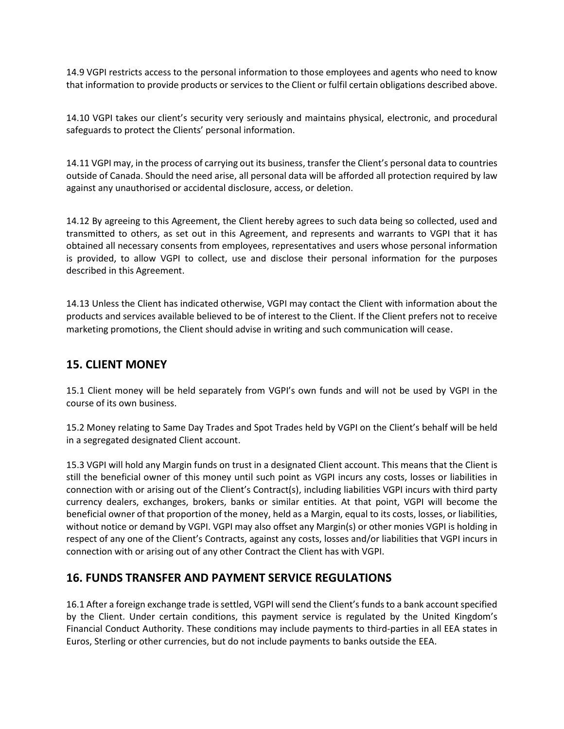14.9 VGPI restricts access to the personal information to those employees and agents who need to know that information to provide products or services to the Client or fulfil certain obligations described above.

14.10 VGPI takes our client's security very seriously and maintains physical, electronic, and procedural safeguards to protect the Clients' personal information.

14.11 VGPI may, in the process of carrying out its business, transfer the Client's personal data to countries outside of Canada. Should the need arise, all personal data will be afforded all protection required by law against any unauthorised or accidental disclosure, access, or deletion.

14.12 By agreeing to this Agreement, the Client hereby agrees to such data being so collected, used and transmitted to others, as set out in this Agreement, and represents and warrants to VGPI that it has obtained all necessary consents from employees, representatives and users whose personal information is provided, to allow VGPI to collect, use and disclose their personal information for the purposes described in this Agreement.

14.13 Unless the Client has indicated otherwise, VGPI may contact the Client with information about the products and services available believed to be of interest to the Client. If the Client prefers not to receive marketing promotions, the Client should advise in writing and such communication will cease.

# **15. CLIENT MONEY**

15.1 Client money will be held separately from VGPI's own funds and will not be used by VGPI in the course of its own business.

15.2 Money relating to Same Day Trades and Spot Trades held by VGPI on the Client's behalf will be held in a segregated designated Client account.

15.3 VGPI will hold any Margin funds on trust in a designated Client account. This means that the Client is still the beneficial owner of this money until such point as VGPI incurs any costs, losses or liabilities in connection with or arising out of the Client's Contract(s), including liabilities VGPI incurs with third party currency dealers, exchanges, brokers, banks or similar entities. At that point, VGPI will become the beneficial owner of that proportion of the money, held as a Margin, equal to its costs, losses, or liabilities, without notice or demand by VGPI. VGPI may also offset any Margin(s) or other monies VGPI is holding in respect of any one of the Client's Contracts, against any costs, losses and/or liabilities that VGPI incurs in connection with or arising out of any other Contract the Client has with VGPI.

## **16. FUNDS TRANSFER AND PAYMENT SERVICE REGULATIONS**

16.1 After a foreign exchange trade is settled, VGPI will send the Client's funds to a bank account specified by the Client. Under certain conditions, this payment service is regulated by the United Kingdom's Financial Conduct Authority. These conditions may include payments to third-parties in all EEA states in Euros, Sterling or other currencies, but do not include payments to banks outside the EEA.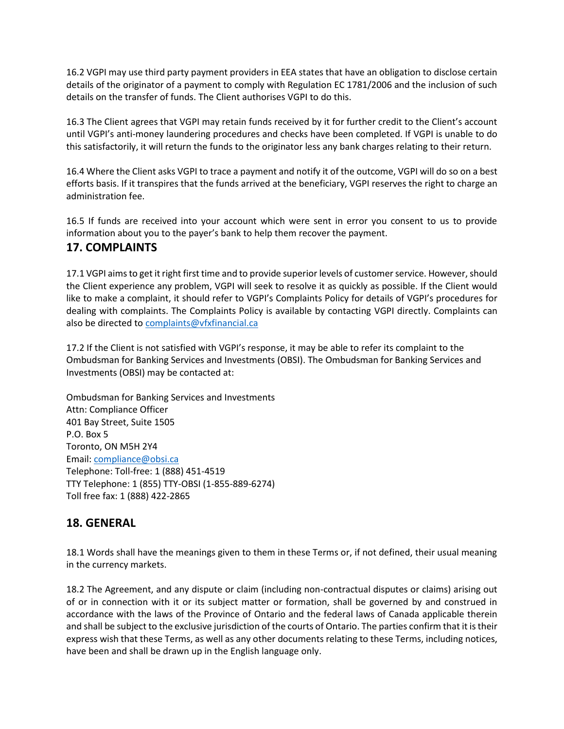16.2 VGPI may use third party payment providers in EEA states that have an obligation to disclose certain details of the originator of a payment to comply with Regulation EC 1781/2006 and the inclusion of such details on the transfer of funds. The Client authorises VGPI to do this.

16.3 The Client agrees that VGPI may retain funds received by it for further credit to the Client's account until VGPI's anti-money laundering procedures and checks have been completed. If VGPI is unable to do this satisfactorily, it will return the funds to the originator less any bank charges relating to their return.

16.4 Where the Client asks VGPI to trace a payment and notify it of the outcome, VGPI will do so on a best efforts basis. If it transpires that the funds arrived at the beneficiary, VGPI reserves the right to charge an administration fee.

16.5 If funds are received into your account which were sent in error you consent to us to provide information about you to the payer's bank to help them recover the payment.

## **17. COMPLAINTS**

17.1 VGPI aims to get it right first time and to provide superior levels of customer service. However, should the Client experience any problem, VGPI will seek to resolve it as quickly as possible. If the Client would like to make a complaint, it should refer to VGPI's Complaints Policy for details of VGPI's procedures for dealing with complaints. The Complaints Policy is available by contacting VGPI directly. Complaints can also be directed to [complaints@vfxfinancial.ca](mailto:complaints@vfxfinancial.ca)

17.2 If the Client is not satisfied with VGPI's response, it may be able to refer its complaint to the Ombudsman for Banking Services and Investments (OBSI). The Ombudsman for Banking Services and Investments (OBSI) may be contacted at:

Ombudsman for Banking Services and Investments Attn: Compliance Officer 401 Bay Street, Suite 1505 P.O. Box 5 Toronto, ON M5H 2Y4 Email: [compliance@obsi.ca](mailto:compliance@obsi.ca) Telephone: Toll-free: 1 (888) 451-4519 TTY Telephone: 1 (855) TTY-OBSI (1-855-889-6274) Toll free fax: 1 (888) 422-2865

# **18. GENERAL**

18.1 Words shall have the meanings given to them in these Terms or, if not defined, their usual meaning in the currency markets.

18.2 The Agreement, and any dispute or claim (including non-contractual disputes or claims) arising out of or in connection with it or its subject matter or formation, shall be governed by and construed in accordance with the laws of the Province of Ontario and the federal laws of Canada applicable therein and shall be subject to the exclusive jurisdiction of the courts of Ontario. The parties confirm that it is their express wish that these Terms, as well as any other documents relating to these Terms, including notices, have been and shall be drawn up in the English language only.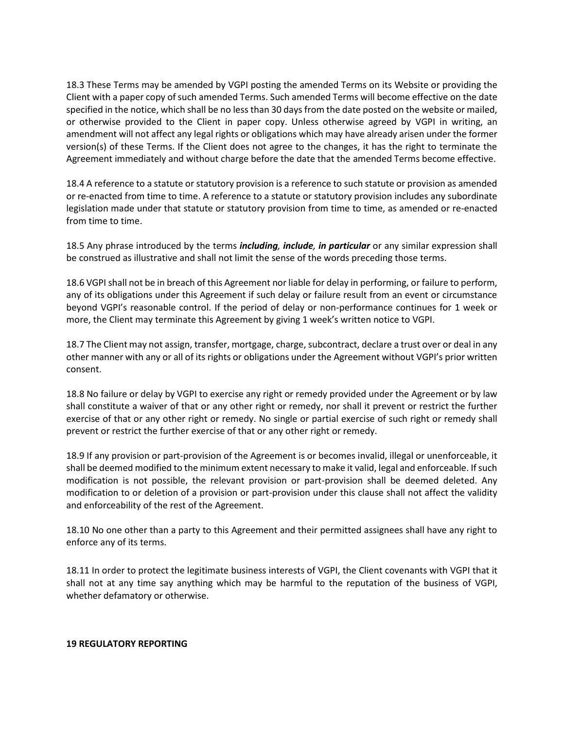18.3 These Terms may be amended by VGPI posting the amended Terms on its Website or providing the Client with a paper copy of such amended Terms. Such amended Terms will become effective on the date specified in the notice, which shall be no less than 30 days from the date posted on the website or mailed, or otherwise provided to the Client in paper copy. Unless otherwise agreed by VGPI in writing, an amendment will not affect any legal rights or obligations which may have already arisen under the former version(s) of these Terms. If the Client does not agree to the changes, it has the right to terminate the Agreement immediately and without charge before the date that the amended Terms become effective.

18.4 A reference to a statute or statutory provision is a reference to such statute or provision as amended or re-enacted from time to time. A reference to a statute or statutory provision includes any subordinate legislation made under that statute or statutory provision from time to time, as amended or re-enacted from time to time.

18.5 Any phrase introduced by the terms *including, include, in particular* or any similar expression shall be construed as illustrative and shall not limit the sense of the words preceding those terms.

18.6 VGPI shall not be in breach of this Agreement nor liable for delay in performing, or failure to perform, any of its obligations under this Agreement if such delay or failure result from an event or circumstance beyond VGPI's reasonable control. If the period of delay or non-performance continues for 1 week or more, the Client may terminate this Agreement by giving 1 week's written notice to VGPI.

18.7 The Client may not assign, transfer, mortgage, charge, subcontract, declare a trust over or deal in any other manner with any or all of its rights or obligations under the Agreement without VGPI's prior written consent.

18.8 No failure or delay by VGPI to exercise any right or remedy provided under the Agreement or by law shall constitute a waiver of that or any other right or remedy, nor shall it prevent or restrict the further exercise of that or any other right or remedy. No single or partial exercise of such right or remedy shall prevent or restrict the further exercise of that or any other right or remedy.

18.9 If any provision or part-provision of the Agreement is or becomes invalid, illegal or unenforceable, it shall be deemed modified to the minimum extent necessary to make it valid, legal and enforceable. If such modification is not possible, the relevant provision or part-provision shall be deemed deleted. Any modification to or deletion of a provision or part-provision under this clause shall not affect the validity and enforceability of the rest of the Agreement.

18.10 No one other than a party to this Agreement and their permitted assignees shall have any right to enforce any of its terms.

18.11 In order to protect the legitimate business interests of VGPI, the Client covenants with VGPI that it shall not at any time say anything which may be harmful to the reputation of the business of VGPI, whether defamatory or otherwise.

#### **19 REGULATORY REPORTING**